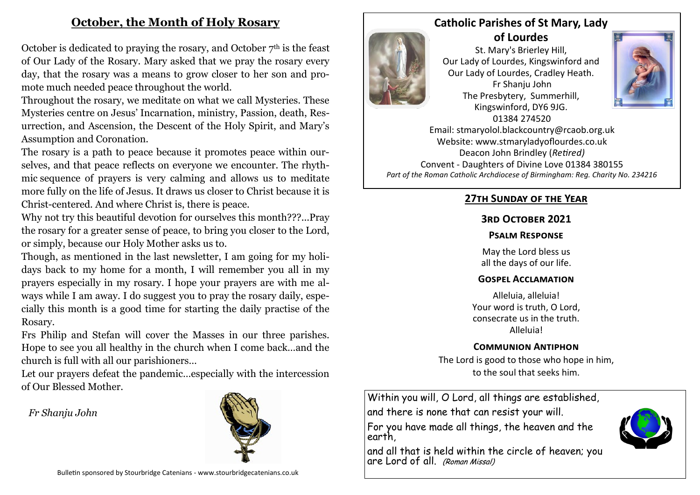# **October, the Month of Holy Rosary**

October is dedicated to praying the rosary, and October  $7<sup>th</sup>$  is the feast of Our Lady of the Rosary. Mary asked that we pray the rosary every day, that the rosary was a means to grow closer to her son and promote much needed peace throughout the world.

Throughout the rosary, we meditate on what we call Mysteries. These Mysteries centre on Jesus' Incarnation, ministry, Passion, death, Resurrection, and Ascension, the Descent of the Holy Spirit, and Mary's Assumption and Coronation.

The rosary is a path to peace because it promotes peace within ourselves, and that peace reflects on everyone we encounter. The rhythmic sequence of prayers is very calming and allows us to meditate more fully on the life of Jesus. It draws us closer to Christ because it is Christ-centered. And where Christ is, there is peace.

Why not try this beautiful devotion for ourselves this month???...Pray the [rosary](https://www.amazon.com/Rosary-Prayer-Mary-K-Doyle/dp/0967744946/ref=tmm_pap_swatch_0?_encoding=UTF8&qid=1600960958&sr=8-2) for a greater sense of peace, to bring you closer to the Lord, or simply, because our Holy Mother asks us to.

Though, as mentioned in the last newsletter, I am going for my holidays back to my home for a month, I will remember you all in my prayers especially in my rosary. I hope your prayers are with me always while I am away. I do suggest you to pray the rosary daily, especially this month is a good time for starting the daily practise of the Rosary.

Frs Philip and Stefan will cover the Masses in our three parishes. Hope to see you all healthy in the church when I come back…and the church is full with all our parishioners…

Let our prayers defeat the pandemic…especially with the intercession of Our Blessed Mother.

 *Fr Shanju John*





St. Mary's Brierley Hill, Our Lady of Lourdes, Kingswinford and Our Lady of Lourdes, Cradley Heath. Fr Shanju John The Presbytery, Summerhill, Kingswinford, DY6 9JG. 01384 274520



Email: stmaryolol.blackcountry@rcaob.org.uk Website: www.stmaryladyoflourdes.co.uk Deacon John Brindley (*Retired)* Convent - Daughters of Divine Love 01384 380155 *Part of the Roman Catholic Archdiocese of Birmingham: Reg. Charity No. 234216*

## **27th Sunday of the Year**

### **3rd October 2021**

#### **Psalm Response**

May the Lord bless us all the days of our life.

#### **Gospel Acclamation**

Alleluia, alleluia! Your word is truth, O Lord, consecrate us in the truth. Alleluia!

### **Communion Antiphon**

The Lord is good to those who hope in him, to the soul that seeks him.

Within you will, O Lord, all things are established,

and there is none that can resist your will.

For you have made all things, the heaven and the earth,

and all that is held within the circle of heaven; you are Lord of all. (Roman Missal)